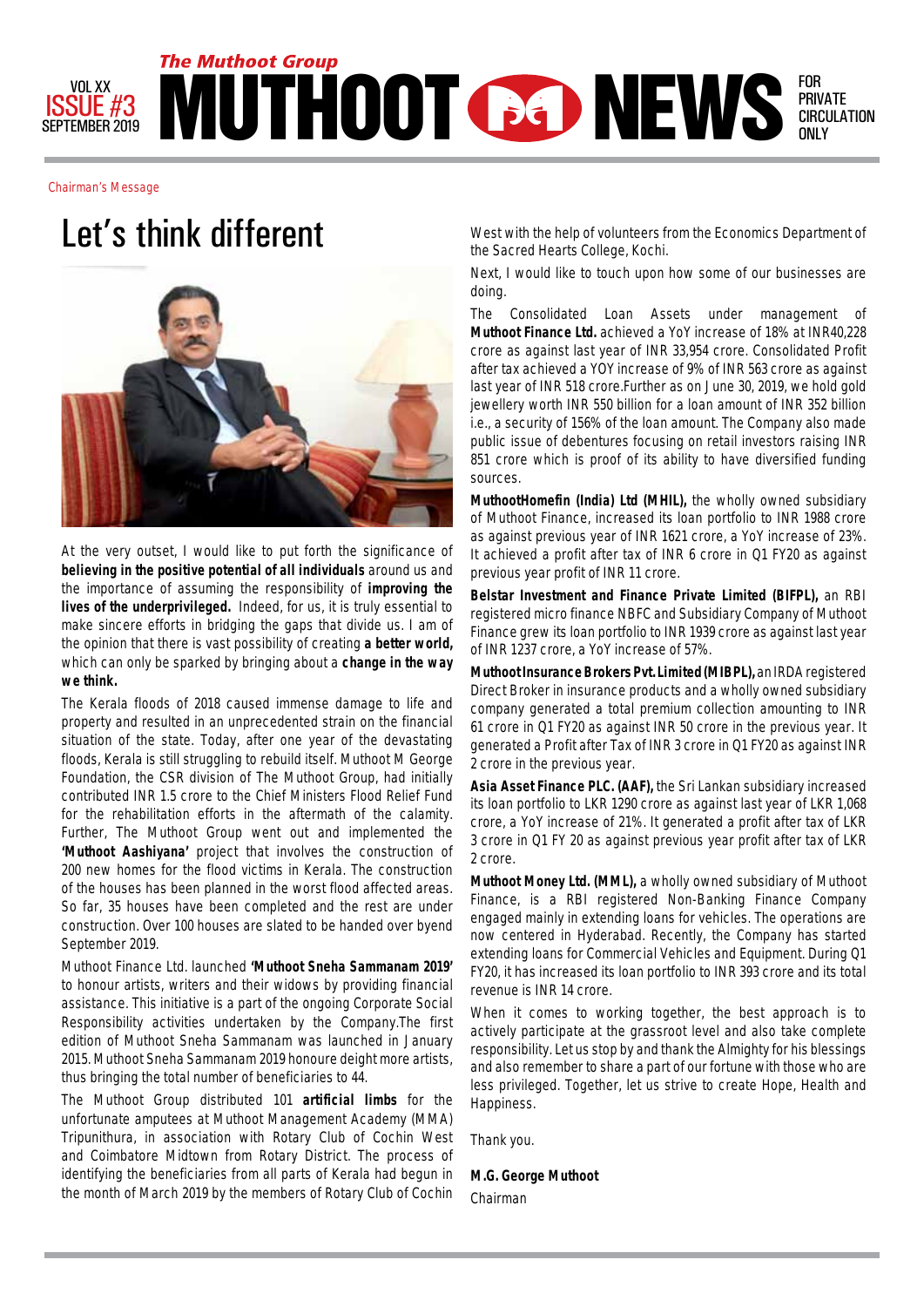

Chairman's Message



At the very outset, I would like to put forth the significance of **believing in the positive potential of all individuals** around us and the importance of assuming the responsibility of **improving the lives of the underprivileged.** Indeed, for us, it is truly essential to make sincere efforts in bridging the gaps that divide us. I am of the opinion that there is vast possibility of creating **a better world,**  which can only be sparked by bringing about a **change in the way we think.**

The Kerala floods of 2018 caused immense damage to life and property and resulted in an unprecedented strain on the financial situation of the state. Today, after one year of the devastating floods, Kerala is still struggling to rebuild itself. Muthoot M George Foundation, the CSR division of The Muthoot Group, had initially contributed INR 1.5 crore to the Chief Ministers Flood Relief Fund for the rehabilitation efforts in the aftermath of the calamity. Further, The Muthoot Group went out and implemented the **'Muthoot Aashiyana'** project that involves the construction of 200 new homes for the flood victims in Kerala. The construction of the houses has been planned in the worst flood affected areas. So far, 35 houses have been completed and the rest are under construction. Over 100 houses are slated to be handed over byend September 2019.

Muthoot Finance Ltd. launched **'Muthoot Sneha Sammanam 2019'**  to honour artists, writers and their widows by providing financial assistance. This initiative is a part of the ongoing Corporate Social Responsibility activities undertaken by the Company.The first edition of Muthoot Sneha Sammanam was launched in January 2015. Muthoot Sneha Sammanam 2019 honoure deight more artists, thus bringing the total number of beneficiaries to 44.

The Muthoot Group distributed 101 **artificial limbs** for the unfortunate amputees at Muthoot Management Academy (MMA) Tripunithura, in association with Rotary Club of Cochin West and Coimbatore Midtown from Rotary District. The process of identifying the beneficiaries from all parts of Kerala had begun in the month of March 2019 by the members of Rotary Club of Cochin

Let's think different West with the help of volunteers from the Economics Department of the Sacred Hearts College, Kochi.

> Next, I would like to touch upon how some of our businesses are doing.

> The Consolidated Loan Assets under management of **Muthoot Finance Ltd.** achieved a YoY increase of 18% at INR40,228 crore as against last year of INR 33,954 crore. Consolidated Profit after tax achieved a YOY increase of 9% of INR 563 crore as against last year of INR 518 crore.Further as on June 30, 2019, we hold gold jewellery worth INR 550 billion for a loan amount of INR 352 billion i.e., a security of 156% of the loan amount. The Company also made public issue of debentures focusing on retail investors raising INR 851 crore which is proof of its ability to have diversified funding sources.

> **MuthootHomefin (India) Ltd (MHIL),** the wholly owned subsidiary of Muthoot Finance, increased its loan portfolio to INR 1988 crore as against previous year of INR 1621 crore, a YoY increase of 23%. It achieved a profit after tax of INR 6 crore in Q1 FY20 as against previous year profit of INR 11 crore.

> **Belstar Investment and Finance Private Limited (BIFPL),** an RBI registered micro finance NBFC and Subsidiary Company of Muthoot Finance grew its loan portfolio to INR 1939 crore as against last year of INR 1237 crore, a YoY increase of 57%.

> **Muthoot Insurance Brokers Pvt. Limited (MIBPL),** an IRDA registered Direct Broker in insurance products and a wholly owned subsidiary company generated a total premium collection amounting to INR 61 crore in Q1 FY20 as against INR 50 crore in the previous year. It generated a Profit after Tax of INR 3 crore in Q1 FY20 as against INR 2 crore in the previous year.

> **Asia Asset Finance PLC. (AAF),** the Sri Lankan subsidiary increased its loan portfolio to LKR 1290 crore as against last year of LKR 1,068 crore, a YoY increase of 21%. It generated a profit after tax of LKR 3 crore in Q1 FY 20 as against previous year profit after tax of LKR 2 crore.

> **Muthoot Money Ltd. (MML),** a wholly owned subsidiary of Muthoot Finance, is a RBI registered Non-Banking Finance Company engaged mainly in extending loans for vehicles. The operations are now centered in Hyderabad. Recently, the Company has started extending loans for Commercial Vehicles and Equipment. During Q1 FY20, it has increased its loan portfolio to INR 393 crore and its total revenue is INR 14 crore.

> When it comes to working together, the best approach is to actively participate at the grassroot level and also take complete responsibility. Let us stop by and thank the Almighty for his blessings and also remember to share a part of our fortune with those who are less privileged. Together, let us strive to create Hope, Health and Happiness.

Thank you.

**M.G. George Muthoot** Chairman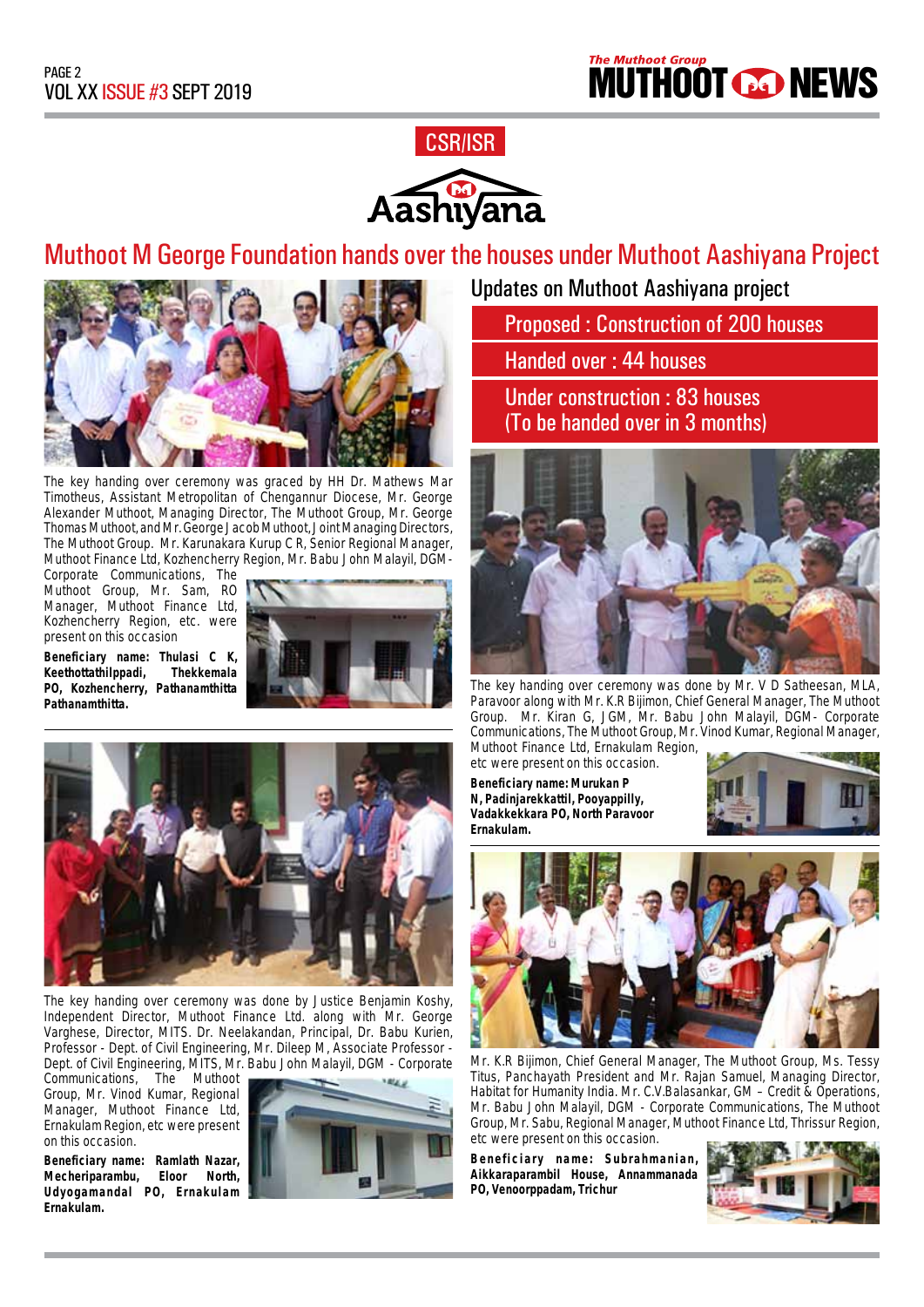

## Muthoot M George Foundation hands over the houses under Muthoot Aashiyana Project



The key handing over ceremony was graced by HH Dr. Mathews Mar Timotheus, Assistant Metropolitan of Chengannur Diocese, Mr. George Alexander Muthoot, Managing Director, The Muthoot Group, Mr. George Thomas Muthoot, and Mr. George Jacob Muthoot, Joint Managing Directors, The Muthoot Group. Mr. Karunakara Kurup C R, Senior Regional Manager, Muthoot Finance Ltd, Kozhencherry Region, Mr. Babu John Malayil, DGM-

Corporate Communications, The Muthoot Group, Mr. Sam, RO Manager, Muthoot Finance Ltd, Kozhencherry Region, etc. were present on this occasion

**Keethottathilppadi**,

**Pathanamthitta.**





The key handing over ceremony was done by Justice Benjamin Koshy, Independent Director, Muthoot Finance Ltd. along with Mr. George Varghese, Director, MITS. Dr. Neelakandan, Principal, Dr. Babu Kurien, Professor - Dept. of Civil Engineering, Mr. Dileep M, Associate Professor - Dept. of Civil Engineering, MITS, Mr. Babu John Malayil, DGM - Corporate Communications, The Muthoot

Communications, The Group, Mr. Vinod Kumar, Regional Manager, Muthoot Finance Ltd, Ernakulam Region, etc were present on this occasion.

**Beneficiary name: Ramlath Nazar, Mecheriparambu, Eloor North, Udyogamandal PO, Ernakulam Ernakulam.**



Updates on Muthoot Aashiyana project

Proposed : Construction of 200 houses

Handed over : 44 houses

Under construction : 83 houses (To be handed over in 3 months)



The key handing over ceremony was done by Mr. V D Satheesan, MLA, Paravoor along with Mr. K.R Bijimon, Chief General Manager, The Muthoot Group. Mr. Kiran G, JGM, Mr. Babu John Malayil, DGM- Corporate Communications, The Muthoot Group, Mr. Vinod Kumar, Regional Manager, Muthoot Finance Ltd, Ernakulam Region,

etc were present on this occasion. **Beneficiary name: Murukan P N, Padinjarekkattil, Pooyappilly, Vadakkekkara PO, North Paravoor Ernakulam.**





Mr. K.R Bijimon, Chief General Manager, The Muthoot Group, Ms. Tessy Titus, Panchayath President and Mr. Rajan Samuel, Managing Director, Habitat for Humanity India. Mr. C.V.Balasankar, GM – Credit & Operations, Mr. Babu John Malayil, DGM - Corporate Communications, The Muthoot Group, Mr. Sabu, Regional Manager, Muthoot Finance Ltd, Thrissur Region, etc were present on this occasion.

**Beneficiary name: Subrahmanian, Aikkaraparambil House, Annammanada PO, Venoorppadam, Trichur**

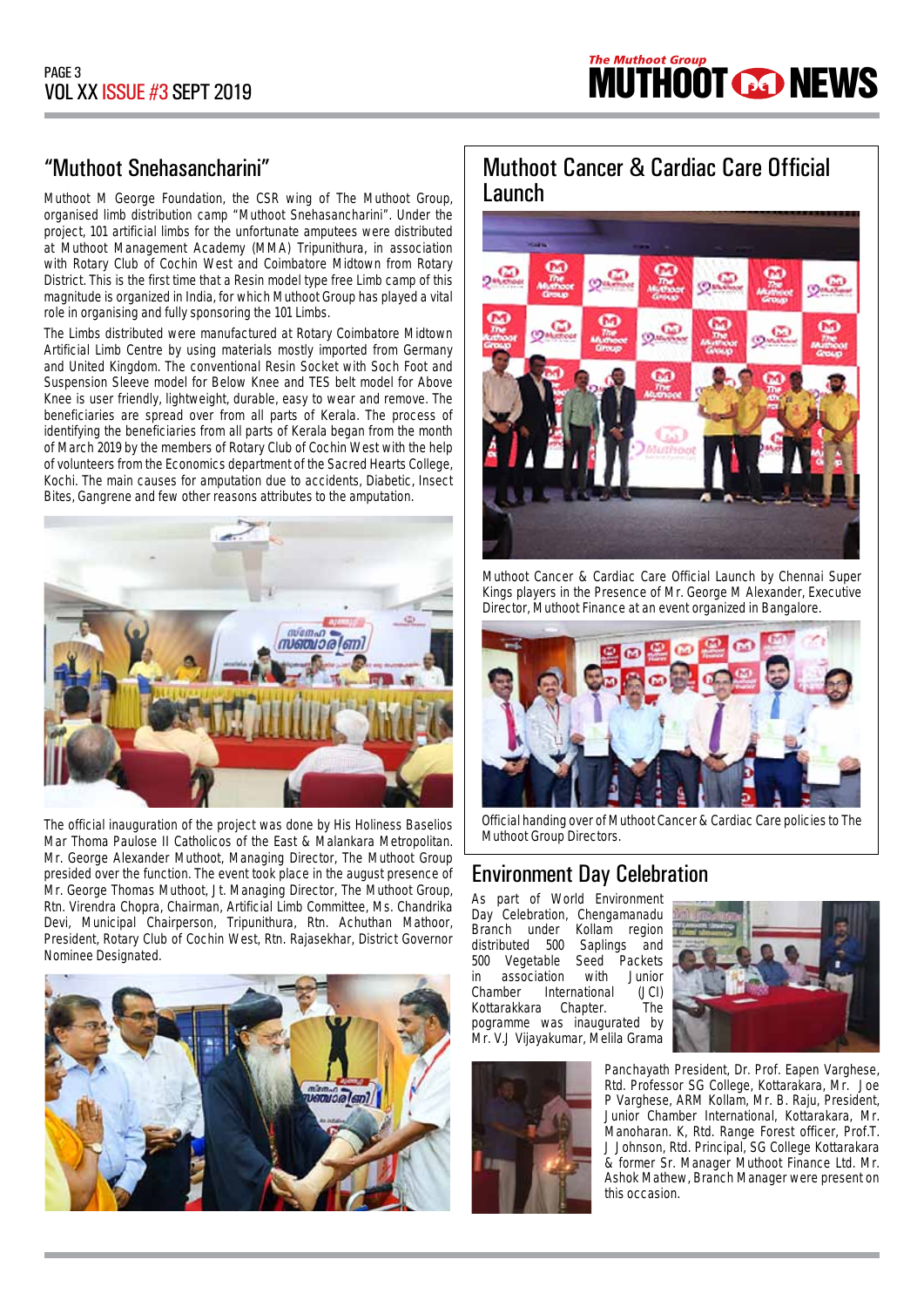

### "Muthoot Snehasancharini"

Muthoot M George Foundation, the CSR wing of The Muthoot Group, organised limb distribution camp "Muthoot Snehasancharini". Under the project, 101 artificial limbs for the unfortunate amputees were distributed at Muthoot Management Academy (MMA) Tripunithura, in association with Rotary Club of Cochin West and Coimbatore Midtown from Rotary District. This is the first time that a Resin model type free Limb camp of this magnitude is organized in India, for which Muthoot Group has played a vital role in organising and fully sponsoring the 101 Limbs.

The Limbs distributed were manufactured at Rotary Coimbatore Midtown Artificial Limb Centre by using materials mostly imported from Germany and United Kingdom. The conventional Resin Socket with Soch Foot and Suspension Sleeve model for Below Knee and TES belt model for Above Knee is user friendly, lightweight, durable, easy to wear and remove. The beneficiaries are spread over from all parts of Kerala. The process of identifying the beneficiaries from all parts of Kerala began from the month of March 2019 by the members of Rotary Club of Cochin West with the help of volunteers from the Economics department of the Sacred Hearts College, Kochi. The main causes for amputation due to accidents, Diabetic, Insect Bites, Gangrene and few other reasons attributes to the amputation.



The official inauguration of the project was done by His Holiness Baselios Mar Thoma Paulose II Catholicos of the East & Malankara Metropolitan. Mr. George Alexander Muthoot, Managing Director, The Muthoot Group presided over the function. The event took place in the august presence of Mr. George Thomas Muthoot, Jt. Managing Director, The Muthoot Group, Rtn. Virendra Chopra, Chairman, Artificial Limb Committee, Ms. Chandrika Devi, Municipal Chairperson, Tripunithura, Rtn. Achuthan Mathoor, President, Rotary Club of Cochin West, Rtn. Rajasekhar, District Governor Nominee Designated.



### Muthoot Cancer & Cardiac Care Official Launch



Muthoot Cancer & Cardiac Care Official Launch by Chennai Super Kings players in the Presence of Mr. George M Alexander, Executive Director, Muthoot Finance at an event organized in Bangalore.



Official handing over of Muthoot Cancer & Cardiac Care policies to The Muthoot Group Directors.

### Environment Day Celebration

As part of World Environment Day Celebration, Chengamanadu<br>Branch under Kollam region Branch under Kollam region<br>distributed 500 Saplings and Saplings and 500 Vegetable Seed Packets<br>in association with Junior association Chamber International (JCI) Kottarakkara Chapter. The pogramme was inaugurated by Mr. V.J Vijayakumar, Melila Grama



Panchayath President, Dr. Prof. Eapen Varghese, Rtd. Professor SG College, Kottarakara, Mr. Joe P Varghese, ARM Kollam, Mr. B. Raju, President, Junior Chamber International, Kottarakara, Mr. Manoharan. K, Rtd. Range Forest officer, Prof.T. J Johnson, Rtd. Principal, SG College Kottarakara & former Sr. Manager Muthoot Finance Ltd. Mr. Ashok Mathew, Branch Manager were present on this occasion.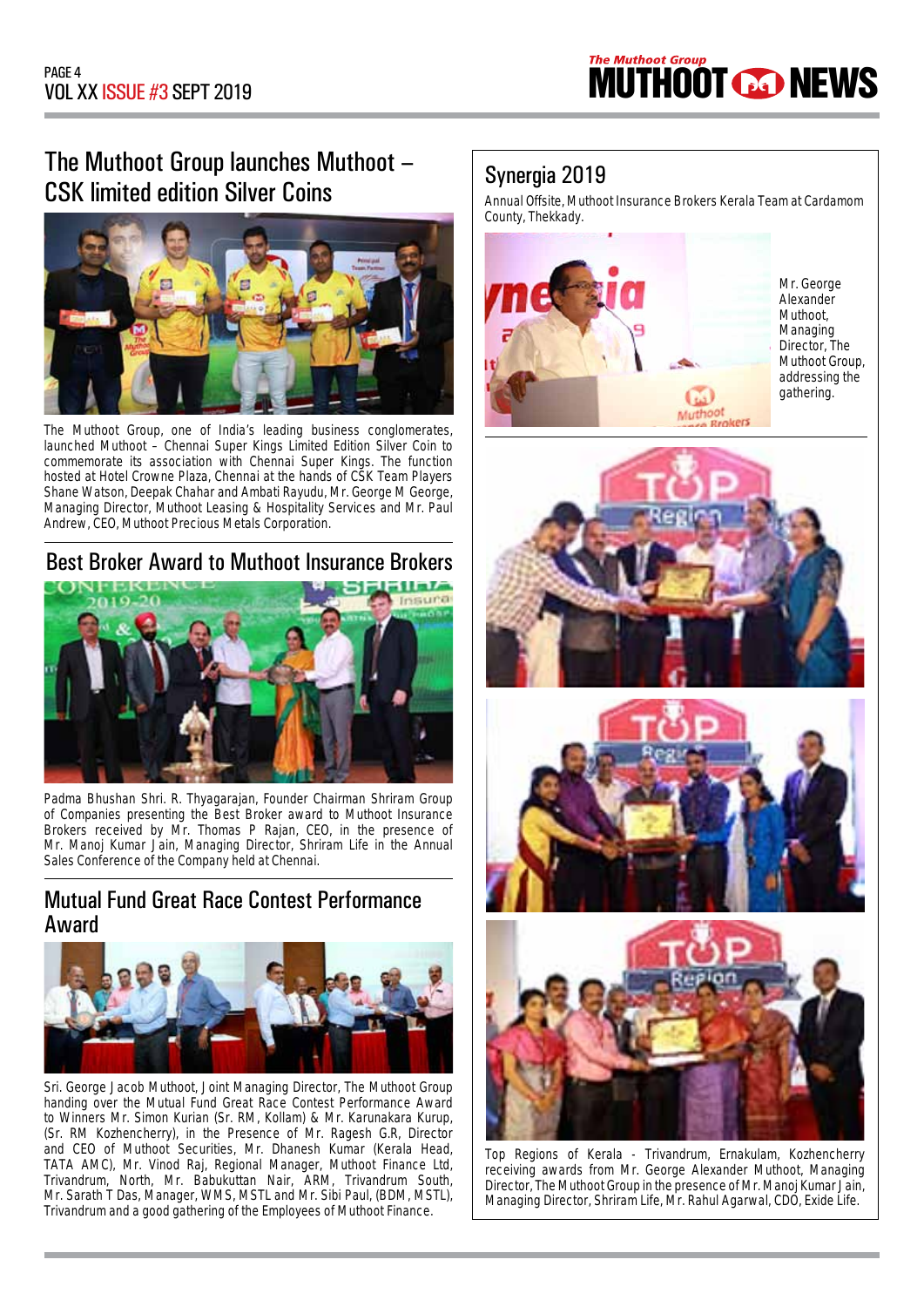

## The Muthoot Group launches Muthoot – CSK limited edition Silver Coins



The Muthoot Group, one of India's leading business conglomerates, launched Muthoot – Chennai Super Kings Limited Edition Silver Coin to commemorate its association with Chennai Super Kings. The function hosted at Hotel Crowne Plaza, Chennai at the hands of CSK Team Players Shane Watson, Deepak Chahar and Ambati Rayudu, Mr. George M George, Managing Director, Muthoot Leasing & Hospitality Services and Mr. Paul Andrew, CEO, Muthoot Precious Metals Corporation.

### Best Broker Award to Muthoot Insurance Brokers



Padma Bhushan Shri. R. Thyagarajan, Founder Chairman Shriram Group of Companies presenting the Best Broker award to Muthoot Insurance Brokers received by Mr. Thomas P Rajan, CEO, in the presence of Mr. Manoj Kumar Jain, Managing Director, Shriram Life in the Annual Sales Conference of the Company held at Chennai.

### Mutual Fund Great Race Contest Performance Award



Sri. George Jacob Muthoot, Joint Managing Director, The Muthoot Group handing over the Mutual Fund Great Race Contest Performance Award to Winners Mr. Simon Kurian (Sr. RM, Kollam) & Mr. Karunakara Kurup, (Sr. RM Kozhencherry), in the Presence of Mr. Ragesh G.R, Director and CEO of Muthoot Securities, Mr. Dhanesh Kumar (Kerala Head, TATA AMC), Mr. Vinod Raj, Regional Manager, Muthoot Finance Ltd, Trivandrum, North, Mr. Babukuttan Nair, ARM, Trivandrum South, Mr. Sarath T Das, Manager, WMS, MSTL and Mr. Sibi Paul, (BDM, MSTL), Trivandrum and a good gathering of the Employees of Muthoot Finance.

### Synergia 2019

Annual Offsite, Muthoot Insurance Brokers Kerala Team at Cardamom County, Thekkady.



Mr. George Alexander Muthoot, Managing Director, The Muthoot Group, addressing the gathering.







Top Regions of Kerala - Trivandrum, Ernakulam, Kozhencherry receiving awards from Mr. George Alexander Muthoot, Managing Director, The Muthoot Group in the presence of Mr. Manoj Kumar Jain, Managing Director, Shriram Life, Mr. Rahul Agarwal, CDO, Exide Life.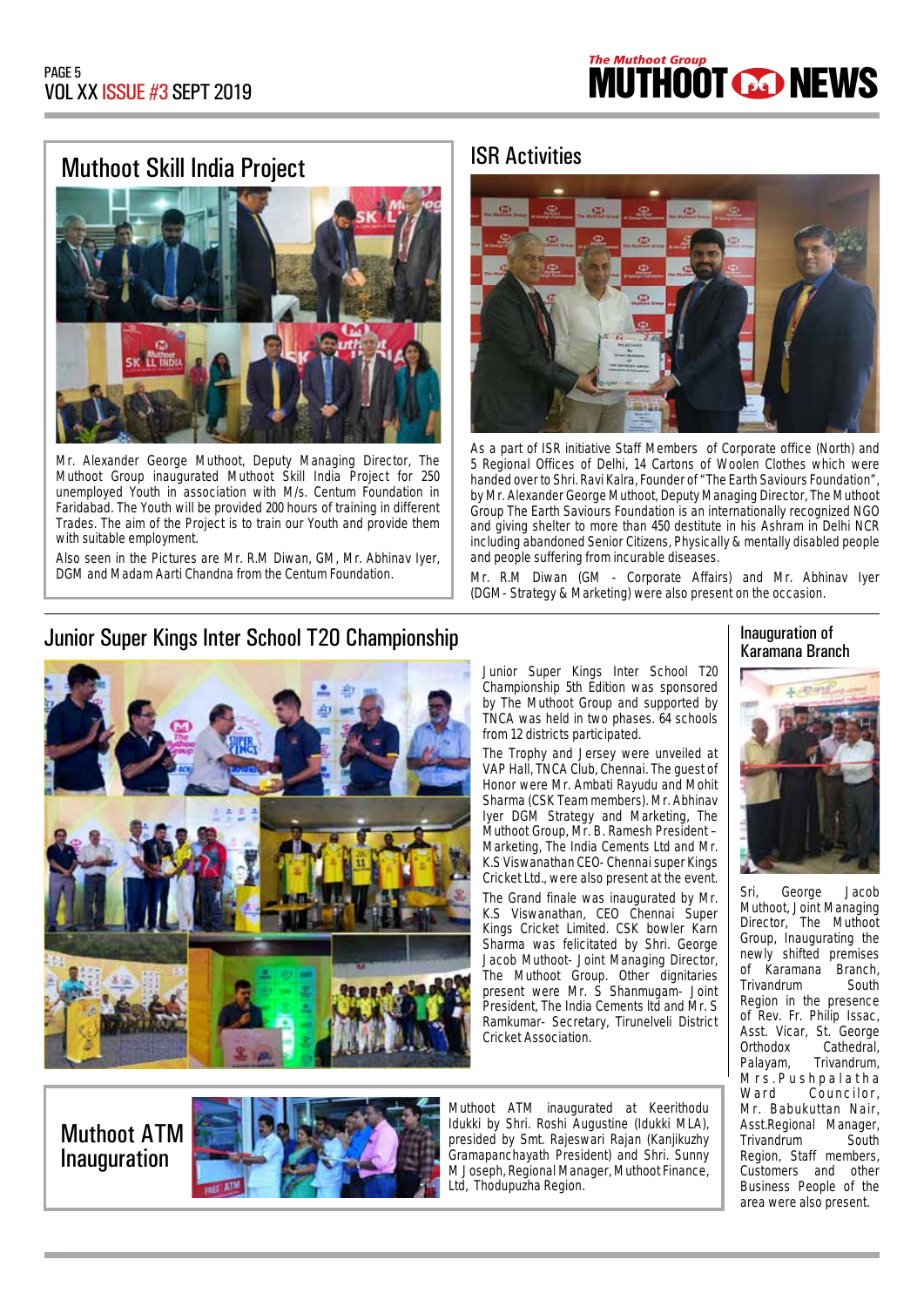# Muthoot Skill India Project | ISR Activities



Mr. Alexander George Muthoot, Deputy Managing Director, The Muthoot Group inaugurated Muthoot Skill India Project for 250 unemployed Youth in association with M/s. Centum Foundation in Faridabad. The Youth will be provided 200 hours of training in different Trades. The aim of the Project is to train our Youth and provide them with suitable employment.

Also seen in the Pictures are Mr. R.M Diwan, GM, Mr. Abhinav Iyer, DGM and Madam Aarti Chandna from the Centum Foundation.

### Junior Super Kings Inter School T20 Championship Industrial Industrial Inauguration of





As a part of ISR initiative Staff Members of Corporate office (North) and 5 Regional Offices of Delhi, 14 Cartons of Woolen Clothes which were handed over to Shri. Ravi Kalra, Founder of "The Earth Saviours Foundation", by Mr. Alexander George Muthoot, Deputy Managing Director, The Muthoot Group The Earth Saviours Foundation is an internationally recognized NGO and giving shelter to more than 450 destitute in his Ashram in Delhi NCR including abandoned Senior Citizens, Physically & mentally disabled people and people suffering from incurable diseases.

Mr. R.M Diwan (GM - Corporate Affairs) and Mr. Abhinav Iyer (DGM- Strategy & Marketing) were also present on the occasion.

Junior Super Kings Inter School T20 Championship 5th Edition was sponsored by The Muthoot Group and supported by TNCA was held in two phases. 64 schools from 12 districts participated.

The Trophy and Jersey were unveiled at VAP Hall, TNCA Club, Chennai. The guest of Honor were Mr. Ambati Rayudu and Mohit Sharma (CSK Team members). Mr. Abhinav Iyer DGM Strategy and Marketing, The Muthoot Group, Mr. B. Ramesh President – Marketing, The India Cements Ltd and Mr. K.S Viswanathan CEO- Chennai super Kings Cricket Ltd., were also present at the event.

The Grand finale was inaugurated by Mr. K.S Viswanathan, CEO Chennai Super Kings Cricket Limited. CSK bowler Karn Sharma was felicitated by Shri. George Jacob Muthoot- Joint Managing Director, The Muthoot Group. Other dignitaries present were Mr. S Shanmugam- Joint President, The India Cements ltd and Mr. S Ramkumar- Secretary, Tirunelveli District Cricket Association.

# Karamana Branch



Sri, George Jacob Muthoot, Joint Managing Director, The Muthoot Group, Inaugurating the newly shifted premises of Karamana Branch, Trivandrum South Region in the presence of Rev. Fr. Philip Issac. Asst. Vicar, St. George<br>Orthodox Cathedral. Orthodox Cathedral,<br>Palavam, Trivandrum, Trivandrum, Mrs.Pushpalatha<br>Ward Councilor, Councilor, Mr. Babukuttan Nair, Asst.Regional Manager, Trivandrum South Region, Staff members, Customers and other Business People of the area were also present.

Muthoot ATM Inauguration



Muthoot ATM inaugurated at Keerithodu Idukki by Shri. Roshi Augustine (Idukki MLA), presided by Smt. Rajeswari Rajan (Kanjikuzhy Gramapanchayath President) and Shri. Sunny M Joseph, Regional Manager, Muthoot Finance, Ltd, Thodupuzha Region.